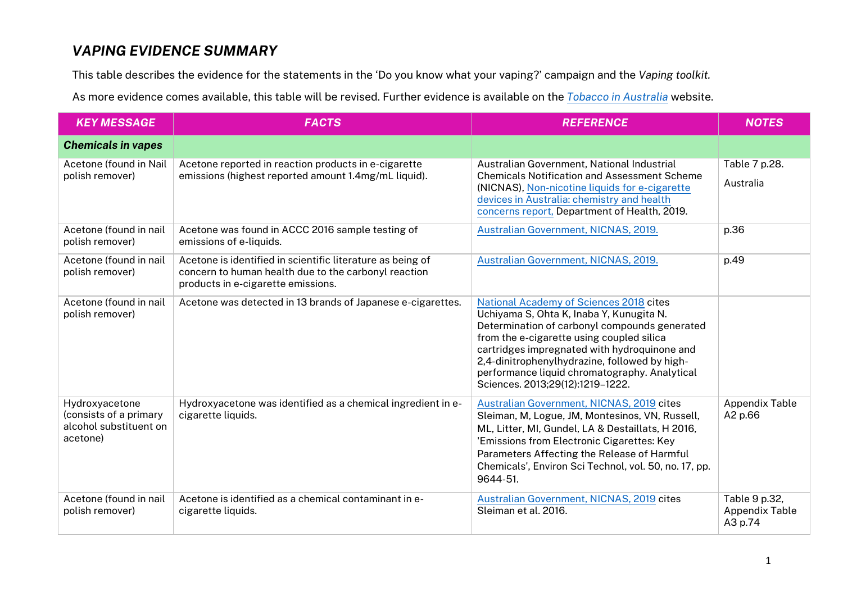## *VAPING EVIDENCE SUMMARY*

This table describes the evidence for the statements in the 'Do you know what your vaping?' campaign and the *Vaping toolkit.*

As more evidence comes available, this table will be revised. Further evidence is available on the *[Tobacco in Australia](https://www.tobaccoinaustralia.org.au/home.aspx)* website.

| <b>KEY MESSAGE</b>                                                             | <b>FACTS</b>                                                                                                                                             | <b>REFERENCE</b>                                                                                                                                                                                                                                                                                                                                                        | <b>NOTES</b>                                      |
|--------------------------------------------------------------------------------|----------------------------------------------------------------------------------------------------------------------------------------------------------|-------------------------------------------------------------------------------------------------------------------------------------------------------------------------------------------------------------------------------------------------------------------------------------------------------------------------------------------------------------------------|---------------------------------------------------|
| <b>Chemicals in vapes</b>                                                      |                                                                                                                                                          |                                                                                                                                                                                                                                                                                                                                                                         |                                                   |
| Acetone (found in Nail<br>polish remover)                                      | Acetone reported in reaction products in e-cigarette<br>emissions (highest reported amount 1.4mg/mL liquid).                                             | Australian Government, National Industrial<br><b>Chemicals Notification and Assessment Scheme</b><br>(NICNAS), Non-nicotine liquids for e-cigarette<br>devices in Australia: chemistry and health<br>concerns report, Department of Health, 2019.                                                                                                                       | Table 7 p.28.<br>Australia                        |
| Acetone (found in nail<br>polish remover)                                      | Acetone was found in ACCC 2016 sample testing of<br>emissions of e-liquids.                                                                              | Australian Government, NICNAS, 2019.                                                                                                                                                                                                                                                                                                                                    | p.36                                              |
| Acetone (found in nail<br>polish remover)                                      | Acetone is identified in scientific literature as being of<br>concern to human health due to the carbonyl reaction<br>products in e-cigarette emissions. | Australian Government, NICNAS, 2019.                                                                                                                                                                                                                                                                                                                                    | p.49                                              |
| Acetone (found in nail<br>polish remover)                                      | Acetone was detected in 13 brands of Japanese e-cigarettes.                                                                                              | National Academy of Sciences 2018 cites<br>Uchiyama S, Ohta K, Inaba Y, Kunugita N.<br>Determination of carbonyl compounds generated<br>from the e-cigarette using coupled silica<br>cartridges impregnated with hydroquinone and<br>2,4-dinitrophenylhydrazine, followed by high-<br>performance liquid chromatography. Analytical<br>Sciences. 2013;29(12):1219-1222. |                                                   |
| Hydroxyacetone<br>(consists of a primary<br>alcohol substituent on<br>acetone) | Hydroxyacetone was identified as a chemical ingredient in e-<br>cigarette liquids.                                                                       | Australian Government, NICNAS, 2019 cites<br>Sleiman, M, Logue, JM, Montesinos, VN, Russell,<br>ML, Litter, MI, Gundel, LA & Destaillats, H 2016,<br>'Emissions from Electronic Cigarettes: Key<br>Parameters Affecting the Release of Harmful<br>Chemicals', Environ Sci Technol, vol. 50, no. 17, pp.<br>9644-51.                                                     | <b>Appendix Table</b><br>A2 p.66                  |
| Acetone (found in nail<br>polish remover)                                      | Acetone is identified as a chemical contaminant in e-<br>cigarette liquids.                                                                              | Australian Government, NICNAS, 2019 cites<br>Sleiman et al. 2016.                                                                                                                                                                                                                                                                                                       | Table 9 p.32,<br><b>Appendix Table</b><br>A3 p.74 |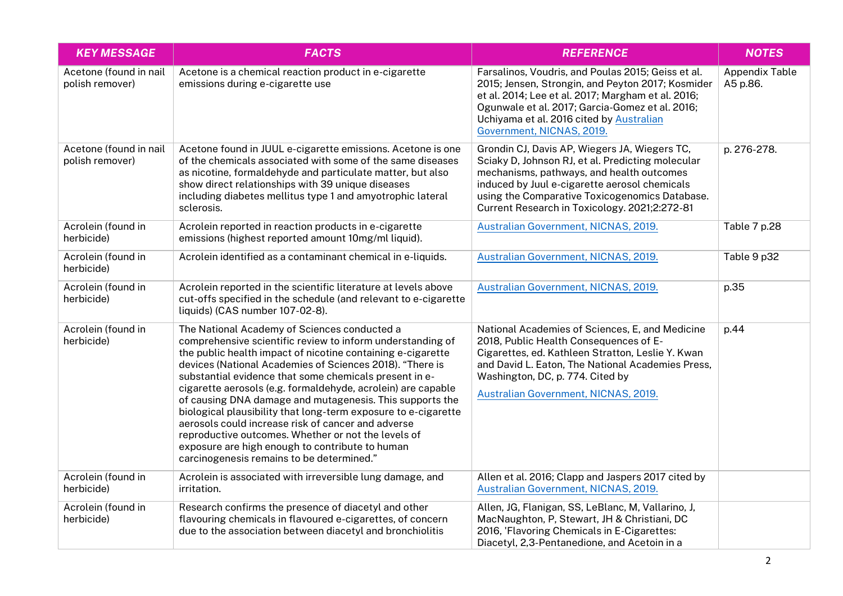| <b>KEY MESSAGE</b>                        | <b>FACTS</b>                                                                                                                                                                                                                                                                                                                                                                                                                                                                                                                                                                                                                                                                                               | <b>REFERENCE</b>                                                                                                                                                                                                                                                                                    | <b>NOTES</b>                      |
|-------------------------------------------|------------------------------------------------------------------------------------------------------------------------------------------------------------------------------------------------------------------------------------------------------------------------------------------------------------------------------------------------------------------------------------------------------------------------------------------------------------------------------------------------------------------------------------------------------------------------------------------------------------------------------------------------------------------------------------------------------------|-----------------------------------------------------------------------------------------------------------------------------------------------------------------------------------------------------------------------------------------------------------------------------------------------------|-----------------------------------|
| Acetone (found in nail<br>polish remover) | Acetone is a chemical reaction product in e-cigarette<br>emissions during e-cigarette use                                                                                                                                                                                                                                                                                                                                                                                                                                                                                                                                                                                                                  | Farsalinos, Voudris, and Poulas 2015; Geiss et al.<br>2015; Jensen, Strongin, and Peyton 2017; Kosmider<br>et al. 2014; Lee et al. 2017; Margham et al. 2016;<br>Ogunwale et al. 2017; Garcia-Gomez et al. 2016;<br>Uchiyama et al. 2016 cited by Australian<br>Government, NICNAS, 2019.           | <b>Appendix Table</b><br>A5 p.86. |
| Acetone (found in nail<br>polish remover) | Acetone found in JUUL e-cigarette emissions. Acetone is one<br>of the chemicals associated with some of the same diseases<br>as nicotine, formaldehyde and particulate matter, but also<br>show direct relationships with 39 unique diseases<br>including diabetes mellitus type 1 and amyotrophic lateral<br>sclerosis.                                                                                                                                                                                                                                                                                                                                                                                   | Grondin CJ, Davis AP, Wiegers JA, Wiegers TC,<br>Sciaky D, Johnson RJ, et al. Predicting molecular<br>mechanisms, pathways, and health outcomes<br>induced by Juul e-cigarette aerosol chemicals<br>using the Comparative Toxicogenomics Database.<br>Current Research in Toxicology. 2021;2:272-81 | p. 276-278.                       |
| Acrolein (found in<br>herbicide)          | Acrolein reported in reaction products in e-cigarette<br>emissions (highest reported amount 10mg/ml liquid).                                                                                                                                                                                                                                                                                                                                                                                                                                                                                                                                                                                               | Australian Government, NICNAS, 2019.                                                                                                                                                                                                                                                                | Table 7 p.28                      |
| Acrolein (found in<br>herbicide)          | Acrolein identified as a contaminant chemical in e-liquids.                                                                                                                                                                                                                                                                                                                                                                                                                                                                                                                                                                                                                                                | Australian Government, NICNAS, 2019.                                                                                                                                                                                                                                                                | Table 9 p32                       |
| Acrolein (found in<br>herbicide)          | Acrolein reported in the scientific literature at levels above<br>cut-offs specified in the schedule (and relevant to e-cigarette<br>liquids) (CAS number 107-02-8).                                                                                                                                                                                                                                                                                                                                                                                                                                                                                                                                       | Australian Government, NICNAS, 2019.                                                                                                                                                                                                                                                                | p.35                              |
| Acrolein (found in<br>herbicide)          | The National Academy of Sciences conducted a<br>comprehensive scientific review to inform understanding of<br>the public health impact of nicotine containing e-cigarette<br>devices (National Academies of Sciences 2018). "There is<br>substantial evidence that some chemicals present in e-<br>cigarette aerosols (e.g. formaldehyde, acrolein) are capable<br>of causing DNA damage and mutagenesis. This supports the<br>biological plausibility that long-term exposure to e-cigarette<br>aerosols could increase risk of cancer and adverse<br>reproductive outcomes. Whether or not the levels of<br>exposure are high enough to contribute to human<br>carcinogenesis remains to be determined." | National Academies of Sciences, E, and Medicine<br>2018, Public Health Consequences of E-<br>Cigarettes, ed. Kathleen Stratton, Leslie Y. Kwan<br>and David L. Eaton, The National Academies Press,<br>Washington, DC, p. 774. Cited by<br>Australian Government, NICNAS, 2019.                     | p.44                              |
| Acrolein (found in<br>herbicide)          | Acrolein is associated with irreversible lung damage, and<br>irritation.                                                                                                                                                                                                                                                                                                                                                                                                                                                                                                                                                                                                                                   | Allen et al. 2016; Clapp and Jaspers 2017 cited by<br>Australian Government, NICNAS, 2019.                                                                                                                                                                                                          |                                   |
| Acrolein (found in<br>herbicide)          | Research confirms the presence of diacetyl and other<br>flavouring chemicals in flavoured e-cigarettes, of concern<br>due to the association between diacetyl and bronchiolitis                                                                                                                                                                                                                                                                                                                                                                                                                                                                                                                            | Allen, JG, Flanigan, SS, LeBlanc, M, Vallarino, J,<br>MacNaughton, P, Stewart, JH & Christiani, DC<br>2016, 'Flavoring Chemicals in E-Cigarettes:<br>Diacetyl, 2,3-Pentanedione, and Acetoin in a                                                                                                   |                                   |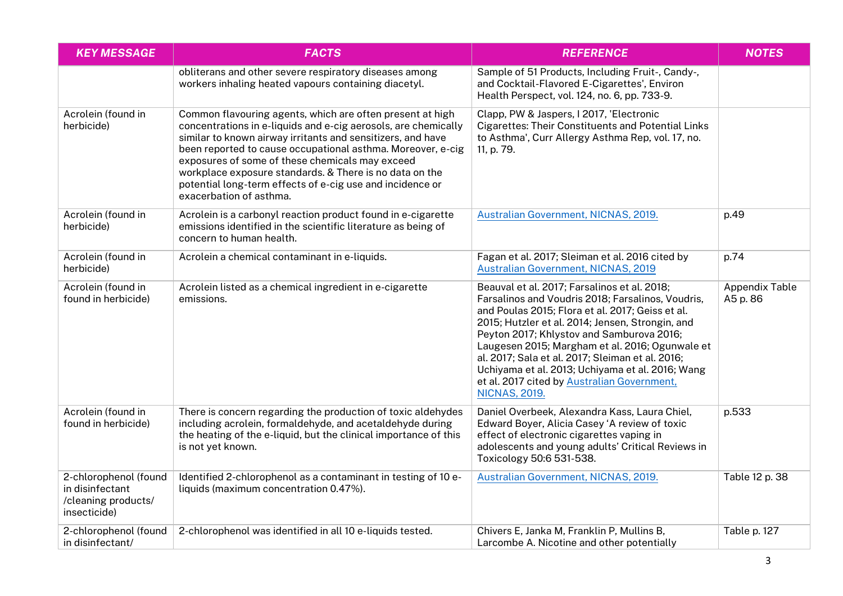| <b>KEY MESSAGE</b>                                                              | <b>FACTS</b>                                                                                                                                                                                                                                                                                                                                                                                                                                                    | <b>REFERENCE</b>                                                                                                                                                                                                                                                                                                                                                                                                                                                                         | <b>NOTES</b>                      |
|---------------------------------------------------------------------------------|-----------------------------------------------------------------------------------------------------------------------------------------------------------------------------------------------------------------------------------------------------------------------------------------------------------------------------------------------------------------------------------------------------------------------------------------------------------------|------------------------------------------------------------------------------------------------------------------------------------------------------------------------------------------------------------------------------------------------------------------------------------------------------------------------------------------------------------------------------------------------------------------------------------------------------------------------------------------|-----------------------------------|
|                                                                                 | obliterans and other severe respiratory diseases among<br>workers inhaling heated vapours containing diacetyl.                                                                                                                                                                                                                                                                                                                                                  | Sample of 51 Products, Including Fruit-, Candy-,<br>and Cocktail-Flavored E-Cigarettes', Environ<br>Health Perspect, vol. 124, no. 6, pp. 733-9.                                                                                                                                                                                                                                                                                                                                         |                                   |
| Acrolein (found in<br>herbicide)                                                | Common flavouring agents, which are often present at high<br>concentrations in e-liquids and e-cig aerosols, are chemically<br>similar to known airway irritants and sensitizers, and have<br>been reported to cause occupational asthma. Moreover, e-cig<br>exposures of some of these chemicals may exceed<br>workplace exposure standards. & There is no data on the<br>potential long-term effects of e-cig use and incidence or<br>exacerbation of asthma. | Clapp, PW & Jaspers, I 2017, 'Electronic<br>Cigarettes: Their Constituents and Potential Links<br>to Asthma', Curr Allergy Asthma Rep, vol. 17, no.<br>11, p. 79.                                                                                                                                                                                                                                                                                                                        |                                   |
| Acrolein (found in<br>herbicide)                                                | Acrolein is a carbonyl reaction product found in e-cigarette<br>emissions identified in the scientific literature as being of<br>concern to human health.                                                                                                                                                                                                                                                                                                       | Australian Government, NICNAS, 2019.                                                                                                                                                                                                                                                                                                                                                                                                                                                     | p.49                              |
| Acrolein (found in<br>herbicide)                                                | Acrolein a chemical contaminant in e-liquids.                                                                                                                                                                                                                                                                                                                                                                                                                   | Fagan et al. 2017; Sleiman et al. 2016 cited by<br><b>Australian Government, NICNAS, 2019</b>                                                                                                                                                                                                                                                                                                                                                                                            | p.74                              |
| Acrolein (found in<br>found in herbicide)                                       | Acrolein listed as a chemical ingredient in e-cigarette<br>emissions.                                                                                                                                                                                                                                                                                                                                                                                           | Beauval et al. 2017; Farsalinos et al. 2018;<br>Farsalinos and Voudris 2018; Farsalinos, Voudris,<br>and Poulas 2015; Flora et al. 2017; Geiss et al.<br>2015; Hutzler et al. 2014; Jensen, Strongin, and<br>Peyton 2017; Khlystov and Samburova 2016;<br>Laugesen 2015; Margham et al. 2016; Ogunwale et<br>al. 2017; Sala et al. 2017; Sleiman et al. 2016;<br>Uchiyama et al. 2013; Uchiyama et al. 2016; Wang<br>et al. 2017 cited by Australian Government,<br><b>NICNAS, 2019.</b> | <b>Appendix Table</b><br>A5 p. 86 |
| Acrolein (found in<br>found in herbicide)                                       | There is concern regarding the production of toxic aldehydes<br>including acrolein, formaldehyde, and acetaldehyde during<br>the heating of the e-liquid, but the clinical importance of this<br>is not yet known.                                                                                                                                                                                                                                              | Daniel Overbeek, Alexandra Kass, Laura Chiel,<br>Edward Boyer, Alicia Casey 'A review of toxic<br>effect of electronic cigarettes vaping in<br>adolescents and young adults' Critical Reviews in<br>Toxicology 50:6 531-538.                                                                                                                                                                                                                                                             | p.533                             |
| 2-chlorophenol (found<br>in disinfectant<br>/cleaning products/<br>insecticide) | Identified 2-chlorophenol as a contaminant in testing of 10 e-<br>liquids (maximum concentration 0.47%).                                                                                                                                                                                                                                                                                                                                                        | Australian Government, NICNAS, 2019.                                                                                                                                                                                                                                                                                                                                                                                                                                                     | Table 12 p. 38                    |
| 2-chlorophenol (found<br>in disinfectant/                                       | 2-chlorophenol was identified in all 10 e-liquids tested.                                                                                                                                                                                                                                                                                                                                                                                                       | Chivers E, Janka M, Franklin P, Mullins B,<br>Larcombe A. Nicotine and other potentially                                                                                                                                                                                                                                                                                                                                                                                                 | Table p. 127                      |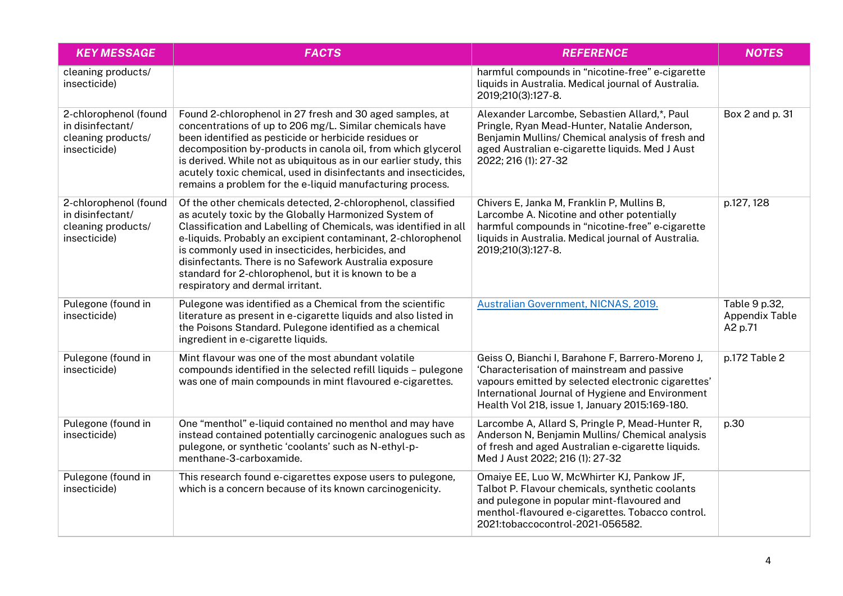| <b>KEY MESSAGE</b>                                                              | <b>FACTS</b>                                                                                                                                                                                                                                                                                                                                                                                                                                                        | <b>REFERENCE</b>                                                                                                                                                                                                                                             | <b>NOTES</b>                                      |
|---------------------------------------------------------------------------------|---------------------------------------------------------------------------------------------------------------------------------------------------------------------------------------------------------------------------------------------------------------------------------------------------------------------------------------------------------------------------------------------------------------------------------------------------------------------|--------------------------------------------------------------------------------------------------------------------------------------------------------------------------------------------------------------------------------------------------------------|---------------------------------------------------|
| cleaning products/<br>insecticide)                                              |                                                                                                                                                                                                                                                                                                                                                                                                                                                                     | harmful compounds in "nicotine-free" e-cigarette<br>liquids in Australia. Medical journal of Australia.<br>2019;210(3):127-8.                                                                                                                                |                                                   |
| 2-chlorophenol (found<br>in disinfectant/<br>cleaning products/<br>insecticide) | Found 2-chlorophenol in 27 fresh and 30 aged samples, at<br>concentrations of up to 206 mg/L. Similar chemicals have<br>been identified as pesticide or herbicide residues or<br>decomposition by-products in canola oil, from which glycerol<br>is derived. While not as ubiquitous as in our earlier study, this<br>acutely toxic chemical, used in disinfectants and insecticides,<br>remains a problem for the e-liquid manufacturing process.                  | Alexander Larcombe, Sebastien Allard,*, Paul<br>Pringle, Ryan Mead-Hunter, Natalie Anderson,<br>Benjamin Mullins/ Chemical analysis of fresh and<br>aged Australian e-cigarette liquids. Med J Aust<br>2022; 216 (1): 27-32                                  | Box 2 and p. 31                                   |
| 2-chlorophenol (found<br>in disinfectant/<br>cleaning products/<br>insecticide) | Of the other chemicals detected, 2-chlorophenol, classified<br>as acutely toxic by the Globally Harmonized System of<br>Classification and Labelling of Chemicals, was identified in all<br>e-liquids. Probably an excipient contaminant, 2-chlorophenol<br>is commonly used in insecticides, herbicides, and<br>disinfectants. There is no Safework Australia exposure<br>standard for 2-chlorophenol, but it is known to be a<br>respiratory and dermal irritant. | Chivers E, Janka M, Franklin P, Mullins B,<br>Larcombe A. Nicotine and other potentially<br>harmful compounds in "nicotine-free" e-cigarette<br>liquids in Australia. Medical journal of Australia.<br>2019;210(3):127-8.                                    | p.127, 128                                        |
| Pulegone (found in<br>insecticide)                                              | Pulegone was identified as a Chemical from the scientific<br>literature as present in e-cigarette liquids and also listed in<br>the Poisons Standard. Pulegone identified as a chemical<br>ingredient in e-cigarette liquids.                                                                                                                                                                                                                                       | Australian Government, NICNAS, 2019.                                                                                                                                                                                                                         | Table 9 p.32,<br><b>Appendix Table</b><br>A2 p.71 |
| Pulegone (found in<br>insecticide)                                              | Mint flavour was one of the most abundant volatile<br>compounds identified in the selected refill liquids - pulegone<br>was one of main compounds in mint flavoured e-cigarettes.                                                                                                                                                                                                                                                                                   | Geiss O, Bianchi I, Barahone F, Barrero-Moreno J,<br>'Characterisation of mainstream and passive<br>vapours emitted by selected electronic cigarettes'<br>International Journal of Hygiene and Environment<br>Health Vol 218, issue 1, January 2015:169-180. | p.172 Table 2                                     |
| Pulegone (found in<br>insecticide)                                              | One "menthol" e-liquid contained no menthol and may have<br>instead contained potentially carcinogenic analogues such as<br>pulegone, or synthetic 'coolants' such as N-ethyl-p-<br>menthane-3-carboxamide.                                                                                                                                                                                                                                                         | Larcombe A, Allard S, Pringle P, Mead-Hunter R,<br>Anderson N, Benjamin Mullins/ Chemical analysis<br>of fresh and aged Australian e-cigarette liquids.<br>Med J Aust 2022; 216 (1): 27-32                                                                   | p.30                                              |
| Pulegone (found in<br>insecticide)                                              | This research found e-cigarettes expose users to pulegone,<br>which is a concern because of its known carcinogenicity.                                                                                                                                                                                                                                                                                                                                              | Omaiye EE, Luo W, McWhirter KJ, Pankow JF,<br>Talbot P. Flavour chemicals, synthetic coolants<br>and pulegone in popular mint-flavoured and<br>menthol-flavoured e-cigarettes. Tobacco control.<br>2021:tobaccocontrol-2021-056582.                          |                                                   |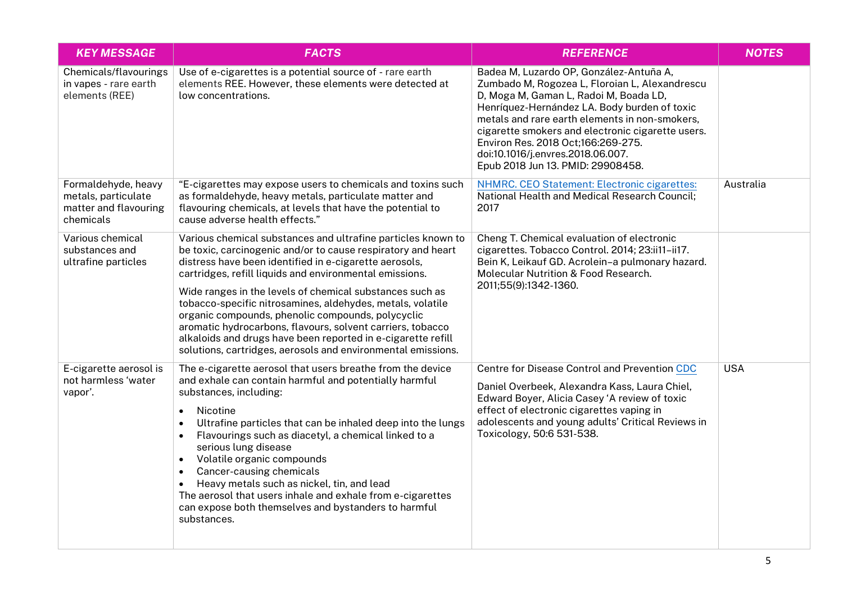| <b>KEY MESSAGE</b>                                                               | <b>FACTS</b>                                                                                                                                                                                                                                                                                                                                                                                                                                                                                                                                                                                                                         | <b>REFERENCE</b>                                                                                                                                                                                                                                                                                                                                                                                           | <b>NOTES</b> |
|----------------------------------------------------------------------------------|--------------------------------------------------------------------------------------------------------------------------------------------------------------------------------------------------------------------------------------------------------------------------------------------------------------------------------------------------------------------------------------------------------------------------------------------------------------------------------------------------------------------------------------------------------------------------------------------------------------------------------------|------------------------------------------------------------------------------------------------------------------------------------------------------------------------------------------------------------------------------------------------------------------------------------------------------------------------------------------------------------------------------------------------------------|--------------|
| Chemicals/flavourings<br>in vapes - rare earth<br>elements (REE)                 | Use of e-cigarettes is a potential source of - rare earth<br>elements REE. However, these elements were detected at<br>low concentrations.                                                                                                                                                                                                                                                                                                                                                                                                                                                                                           | Badea M, Luzardo OP, González-Antuña A,<br>Zumbado M, Rogozea L, Floroian L, Alexandrescu<br>D, Moga M, Gaman L, Radoi M, Boada LD,<br>Henríquez-Hernández LA. Body burden of toxic<br>metals and rare earth elements in non-smokers.<br>cigarette smokers and electronic cigarette users.<br>Environ Res. 2018 Oct;166:269-275.<br>doi:10.1016/j.envres.2018.06.007.<br>Epub 2018 Jun 13. PMID: 29908458. |              |
| Formaldehyde, heavy<br>metals, particulate<br>matter and flavouring<br>chemicals | "E-cigarettes may expose users to chemicals and toxins such<br>as formaldehyde, heavy metals, particulate matter and<br>flavouring chemicals, at levels that have the potential to<br>cause adverse health effects."                                                                                                                                                                                                                                                                                                                                                                                                                 | NHMRC. CEO Statement: Electronic cigarettes:<br>National Health and Medical Research Council;<br>2017                                                                                                                                                                                                                                                                                                      | Australia    |
| Various chemical<br>substances and<br>ultrafine particles                        | Various chemical substances and ultrafine particles known to<br>be toxic, carcinogenic and/or to cause respiratory and heart<br>distress have been identified in e-cigarette aerosols,<br>cartridges, refill liquids and environmental emissions.<br>Wide ranges in the levels of chemical substances such as<br>tobacco-specific nitrosamines, aldehydes, metals, volatile<br>organic compounds, phenolic compounds, polycyclic<br>aromatic hydrocarbons, flavours, solvent carriers, tobacco<br>alkaloids and drugs have been reported in e-cigarette refill<br>solutions, cartridges, aerosols and environmental emissions.       | Cheng T. Chemical evaluation of electronic<br>cigarettes. Tobacco Control. 2014; 23:ii11-ii17.<br>Bein K, Leikauf GD. Acrolein-a pulmonary hazard.<br><b>Molecular Nutrition &amp; Food Research.</b><br>2011;55(9):1342-1360.                                                                                                                                                                             |              |
| E-cigarette aerosol is<br>not harmless 'water<br>vapor'.                         | The e-cigarette aerosol that users breathe from the device<br>and exhale can contain harmful and potentially harmful<br>substances, including:<br>Nicotine<br>$\bullet$<br>Ultrafine particles that can be inhaled deep into the lungs<br>$\bullet$<br>Flavourings such as diacetyl, a chemical linked to a<br>$\bullet$<br>serious lung disease<br>Volatile organic compounds<br>$\bullet$<br>Cancer-causing chemicals<br>$\bullet$<br>Heavy metals such as nickel, tin, and lead<br>$\bullet$<br>The aerosol that users inhale and exhale from e-cigarettes<br>can expose both themselves and bystanders to harmful<br>substances. | Centre for Disease Control and Prevention CDC<br>Daniel Overbeek, Alexandra Kass, Laura Chiel,<br>Edward Boyer, Alicia Casey 'A review of toxic<br>effect of electronic cigarettes vaping in<br>adolescents and young adults' Critical Reviews in<br>Toxicology, 50:6 531-538.                                                                                                                             | <b>USA</b>   |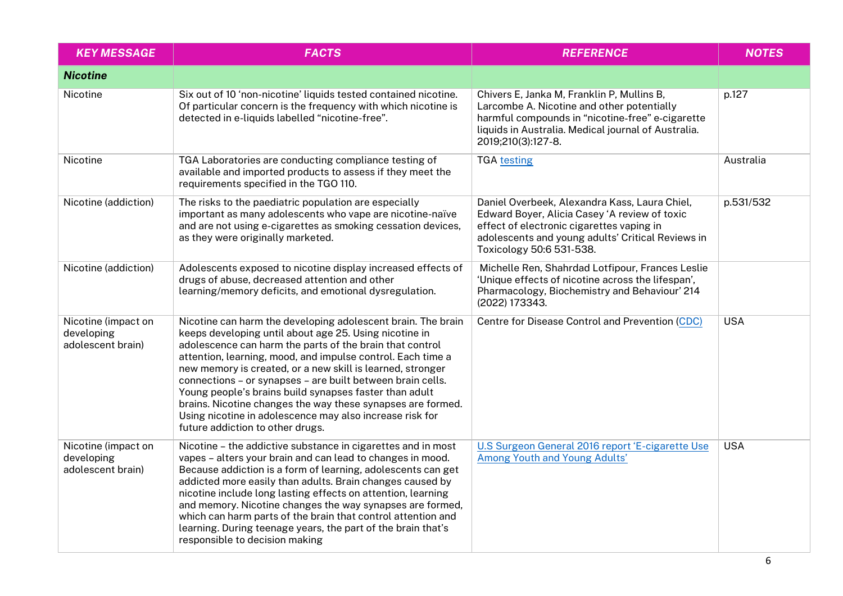| <b>KEY MESSAGE</b>                                     | <b>FACTS</b>                                                                                                                                                                                                                                                                                                                                                                                                                                                                                                                                                                                           | <b>REFERENCE</b>                                                                                                                                                                                                             | <b>NOTES</b> |
|--------------------------------------------------------|--------------------------------------------------------------------------------------------------------------------------------------------------------------------------------------------------------------------------------------------------------------------------------------------------------------------------------------------------------------------------------------------------------------------------------------------------------------------------------------------------------------------------------------------------------------------------------------------------------|------------------------------------------------------------------------------------------------------------------------------------------------------------------------------------------------------------------------------|--------------|
| <b>Nicotine</b>                                        |                                                                                                                                                                                                                                                                                                                                                                                                                                                                                                                                                                                                        |                                                                                                                                                                                                                              |              |
| Nicotine                                               | Six out of 10 'non-nicotine' liquids tested contained nicotine.<br>Of particular concern is the frequency with which nicotine is<br>detected in e-liquids labelled "nicotine-free".                                                                                                                                                                                                                                                                                                                                                                                                                    | Chivers E, Janka M, Franklin P, Mullins B,<br>Larcombe A. Nicotine and other potentially<br>harmful compounds in "nicotine-free" e-cigarette<br>liquids in Australia. Medical journal of Australia.<br>2019;210(3):127-8.    | p.127        |
| Nicotine                                               | TGA Laboratories are conducting compliance testing of<br>available and imported products to assess if they meet the<br>requirements specified in the TGO 110.                                                                                                                                                                                                                                                                                                                                                                                                                                          | <b>TGA testing</b>                                                                                                                                                                                                           | Australia    |
| Nicotine (addiction)                                   | The risks to the paediatric population are especially<br>important as many adolescents who vape are nicotine-naïve<br>and are not using e-cigarettes as smoking cessation devices,<br>as they were originally marketed.                                                                                                                                                                                                                                                                                                                                                                                | Daniel Overbeek, Alexandra Kass, Laura Chiel,<br>Edward Boyer, Alicia Casey 'A review of toxic<br>effect of electronic cigarettes vaping in<br>adolescents and young adults' Critical Reviews in<br>Toxicology 50:6 531-538. | p.531/532    |
| Nicotine (addiction)                                   | Adolescents exposed to nicotine display increased effects of<br>drugs of abuse, decreased attention and other<br>learning/memory deficits, and emotional dysregulation.                                                                                                                                                                                                                                                                                                                                                                                                                                | Michelle Ren, Shahrdad Lotfipour, Frances Leslie<br>'Unique effects of nicotine across the lifespan',<br>Pharmacology, Biochemistry and Behaviour' 214<br>(2022) 173343.                                                     |              |
| Nicotine (impact on<br>developing<br>adolescent brain) | Nicotine can harm the developing adolescent brain. The brain<br>keeps developing until about age 25. Using nicotine in<br>adolescence can harm the parts of the brain that control<br>attention, learning, mood, and impulse control. Each time a<br>new memory is created, or a new skill is learned, stronger<br>connections - or synapses - are built between brain cells.<br>Young people's brains build synapses faster than adult<br>brains. Nicotine changes the way these synapses are formed.<br>Using nicotine in adolescence may also increase risk for<br>future addiction to other drugs. | Centre for Disease Control and Prevention (CDC)                                                                                                                                                                              | <b>USA</b>   |
| Nicotine (impact on<br>developing<br>adolescent brain) | Nicotine - the addictive substance in cigarettes and in most<br>vapes - alters your brain and can lead to changes in mood.<br>Because addiction is a form of learning, adolescents can get<br>addicted more easily than adults. Brain changes caused by<br>nicotine include long lasting effects on attention, learning<br>and memory. Nicotine changes the way synapses are formed,<br>which can harm parts of the brain that control attention and<br>learning. During teenage years, the part of the brain that's<br>responsible to decision making                                                 | U.S Surgeon General 2016 report 'E-cigarette Use<br>Among Youth and Young Adults'                                                                                                                                            | <b>USA</b>   |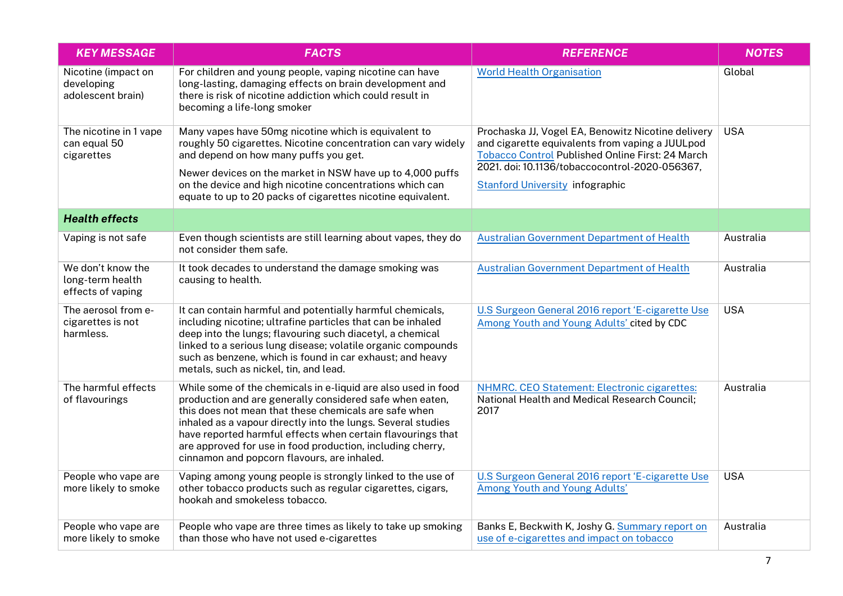| <b>KEY MESSAGE</b>                                         | <b>FACTS</b>                                                                                                                                                                                                                                                                                                                                                                                                                   | <b>REFERENCE</b>                                                                                                                                                                                                                                             | <b>NOTES</b> |
|------------------------------------------------------------|--------------------------------------------------------------------------------------------------------------------------------------------------------------------------------------------------------------------------------------------------------------------------------------------------------------------------------------------------------------------------------------------------------------------------------|--------------------------------------------------------------------------------------------------------------------------------------------------------------------------------------------------------------------------------------------------------------|--------------|
| Nicotine (impact on<br>developing<br>adolescent brain)     | For children and young people, vaping nicotine can have<br>long-lasting, damaging effects on brain development and<br>there is risk of nicotine addiction which could result in<br>becoming a life-long smoker                                                                                                                                                                                                                 | <b>World Health Organisation</b>                                                                                                                                                                                                                             | Global       |
| The nicotine in 1 vape<br>can equal 50<br>cigarettes       | Many vapes have 50mg nicotine which is equivalent to<br>roughly 50 cigarettes. Nicotine concentration can vary widely<br>and depend on how many puffs you get.<br>Newer devices on the market in NSW have up to 4,000 puffs<br>on the device and high nicotine concentrations which can<br>equate to up to 20 packs of cigarettes nicotine equivalent.                                                                         | Prochaska JJ, Vogel EA, Benowitz Nicotine delivery<br>and cigarette equivalents from vaping a JUULpod<br><b>Tobacco Control Published Online First: 24 March</b><br>2021. doi: 10.1136/tobaccocontrol-2020-056367,<br><b>Stanford University infographic</b> | <b>USA</b>   |
| <b>Health effects</b>                                      |                                                                                                                                                                                                                                                                                                                                                                                                                                |                                                                                                                                                                                                                                                              |              |
| Vaping is not safe                                         | Even though scientists are still learning about vapes, they do<br>not consider them safe.                                                                                                                                                                                                                                                                                                                                      | <b>Australian Government Department of Health</b>                                                                                                                                                                                                            | Australia    |
| We don't know the<br>long-term health<br>effects of vaping | It took decades to understand the damage smoking was<br>causing to health.                                                                                                                                                                                                                                                                                                                                                     | <b>Australian Government Department of Health</b>                                                                                                                                                                                                            | Australia    |
| The aerosol from e-<br>cigarettes is not<br>harmless.      | It can contain harmful and potentially harmful chemicals,<br>including nicotine; ultrafine particles that can be inhaled<br>deep into the lungs; flavouring such diacetyl, a chemical<br>linked to a serious lung disease; volatile organic compounds<br>such as benzene, which is found in car exhaust; and heavy<br>metals, such as nickel, tin, and lead.                                                                   | U.S Surgeon General 2016 report 'E-cigarette Use<br>Among Youth and Young Adults' cited by CDC                                                                                                                                                               | <b>USA</b>   |
| The harmful effects<br>of flavourings                      | While some of the chemicals in e-liquid are also used in food<br>production and are generally considered safe when eaten,<br>this does not mean that these chemicals are safe when<br>inhaled as a vapour directly into the lungs. Several studies<br>have reported harmful effects when certain flavourings that<br>are approved for use in food production, including cherry,<br>cinnamon and popcorn flavours, are inhaled. | <b>NHMRC. CEO Statement: Electronic cigarettes:</b><br>National Health and Medical Research Council;<br>2017                                                                                                                                                 | Australia    |
| People who vape are<br>more likely to smoke                | Vaping among young people is strongly linked to the use of<br>other tobacco products such as regular cigarettes, cigars,<br>hookah and smokeless tobacco.                                                                                                                                                                                                                                                                      | U.S Surgeon General 2016 report 'E-cigarette Use<br>Among Youth and Young Adults'                                                                                                                                                                            | <b>USA</b>   |
| People who vape are<br>more likely to smoke                | People who vape are three times as likely to take up smoking<br>than those who have not used e-cigarettes                                                                                                                                                                                                                                                                                                                      | Banks E, Beckwith K, Joshy G. Summary report on<br>use of e-cigarettes and impact on tobacco                                                                                                                                                                 | Australia    |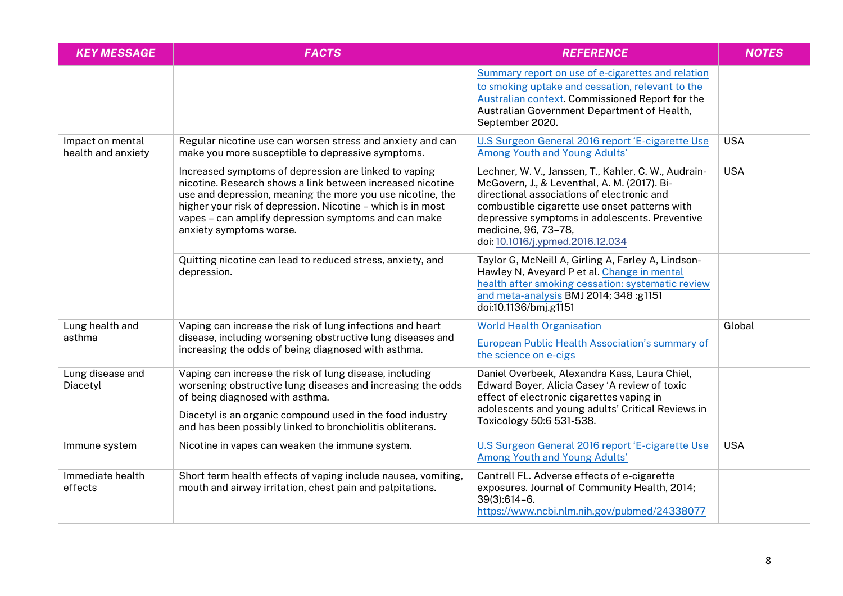| <b>KEY MESSAGE</b>                     | <b>FACTS</b>                                                                                                                                                                                                                                                                                                                        | <b>REFERENCE</b>                                                                                                                                                                                                                                                                                                  | <b>NOTES</b> |
|----------------------------------------|-------------------------------------------------------------------------------------------------------------------------------------------------------------------------------------------------------------------------------------------------------------------------------------------------------------------------------------|-------------------------------------------------------------------------------------------------------------------------------------------------------------------------------------------------------------------------------------------------------------------------------------------------------------------|--------------|
|                                        |                                                                                                                                                                                                                                                                                                                                     | Summary report on use of e-cigarettes and relation<br>to smoking uptake and cessation, relevant to the<br>Australian context. Commissioned Report for the<br>Australian Government Department of Health,<br>September 2020.                                                                                       |              |
| Impact on mental<br>health and anxiety | Regular nicotine use can worsen stress and anxiety and can<br>make you more susceptible to depressive symptoms.                                                                                                                                                                                                                     | U.S Surgeon General 2016 report 'E-cigarette Use<br>Among Youth and Young Adults'                                                                                                                                                                                                                                 | <b>USA</b>   |
|                                        | Increased symptoms of depression are linked to vaping<br>nicotine. Research shows a link between increased nicotine<br>use and depression, meaning the more you use nicotine, the<br>higher your risk of depression. Nicotine - which is in most<br>vapes - can amplify depression symptoms and can make<br>anxiety symptoms worse. | Lechner, W. V., Janssen, T., Kahler, C. W., Audrain-<br>McGovern, J., & Leventhal, A. M. (2017). Bi-<br>directional associations of electronic and<br>combustible cigarette use onset patterns with<br>depressive symptoms in adolescents. Preventive<br>medicine, 96, 73-78,<br>doi: 10.1016/j.ypmed.2016.12.034 | <b>USA</b>   |
|                                        | Quitting nicotine can lead to reduced stress, anxiety, and<br>depression.                                                                                                                                                                                                                                                           | Taylor G, McNeill A, Girling A, Farley A, Lindson-<br>Hawley N, Aveyard P et al. Change in mental<br>health after smoking cessation: systematic review<br>and meta-analysis BMJ 2014; 348 :g1151<br>doi:10.1136/bmj.g1151                                                                                         |              |
| Lung health and<br>asthma              | Vaping can increase the risk of lung infections and heart<br>disease, including worsening obstructive lung diseases and<br>increasing the odds of being diagnosed with asthma.                                                                                                                                                      | <b>World Health Organisation</b><br>European Public Health Association's summary of<br>the science on e-cigs                                                                                                                                                                                                      | Global       |
| Lung disease and<br>Diacetyl           | Vaping can increase the risk of lung disease, including<br>worsening obstructive lung diseases and increasing the odds<br>of being diagnosed with asthma.                                                                                                                                                                           | Daniel Overbeek, Alexandra Kass, Laura Chiel,<br>Edward Boyer, Alicia Casey 'A review of toxic<br>effect of electronic cigarettes vaping in<br>adolescents and young adults' Critical Reviews in                                                                                                                  |              |
|                                        | Diacetyl is an organic compound used in the food industry<br>and has been possibly linked to bronchiolitis obliterans.                                                                                                                                                                                                              | Toxicology 50:6 531-538.                                                                                                                                                                                                                                                                                          |              |
| Immune system                          | Nicotine in vapes can weaken the immune system.                                                                                                                                                                                                                                                                                     | U.S Surgeon General 2016 report 'E-cigarette Use<br>Among Youth and Young Adults'                                                                                                                                                                                                                                 | <b>USA</b>   |
| Immediate health<br>effects            | Short term health effects of vaping include nausea, vomiting,<br>mouth and airway irritation, chest pain and palpitations.                                                                                                                                                                                                          | Cantrell FL. Adverse effects of e-cigarette<br>exposures. Journal of Community Health, 2014;<br>$39(3):614-6.$<br>https://www.ncbi.nlm.nih.gov/pubmed/24338077                                                                                                                                                    |              |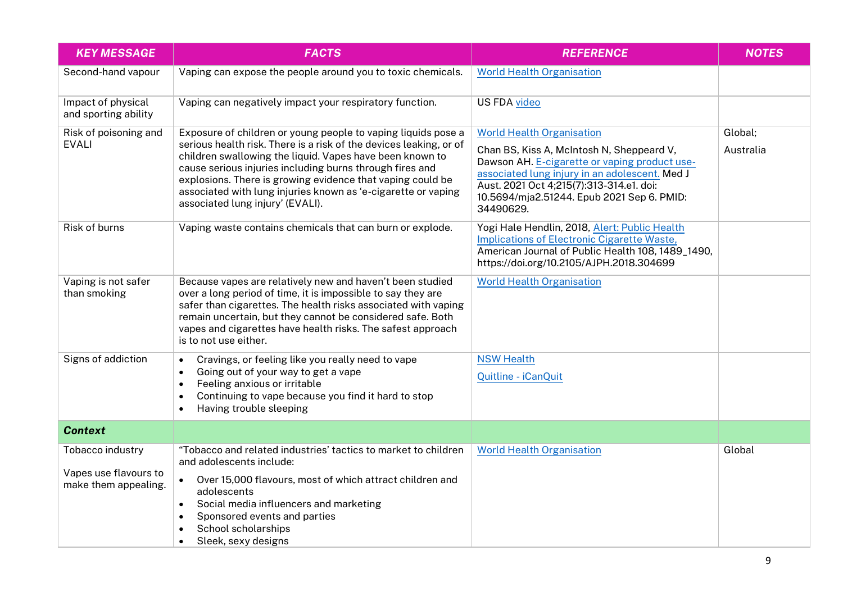| <b>KEY MESSAGE</b>                                                | <b>FACTS</b>                                                                                                                                                                                                                                                                                                                                                                                                                   | <b>REFERENCE</b>                                                                                                                                                                                                                                                                        | <b>NOTES</b>         |
|-------------------------------------------------------------------|--------------------------------------------------------------------------------------------------------------------------------------------------------------------------------------------------------------------------------------------------------------------------------------------------------------------------------------------------------------------------------------------------------------------------------|-----------------------------------------------------------------------------------------------------------------------------------------------------------------------------------------------------------------------------------------------------------------------------------------|----------------------|
| Second-hand vapour                                                | Vaping can expose the people around you to toxic chemicals.                                                                                                                                                                                                                                                                                                                                                                    | <b>World Health Organisation</b>                                                                                                                                                                                                                                                        |                      |
| Impact of physical<br>and sporting ability                        | Vaping can negatively impact your respiratory function.                                                                                                                                                                                                                                                                                                                                                                        | <b>US FDA video</b>                                                                                                                                                                                                                                                                     |                      |
| Risk of poisoning and<br><b>EVALI</b>                             | Exposure of children or young people to vaping liquids pose a<br>serious health risk. There is a risk of the devices leaking, or of<br>children swallowing the liquid. Vapes have been known to<br>cause serious injuries including burns through fires and<br>explosions. There is growing evidence that vaping could be<br>associated with lung injuries known as 'e-cigarette or vaping<br>associated lung injury' (EVALI). | <b>World Health Organisation</b><br>Chan BS, Kiss A, McIntosh N, Sheppeard V,<br>Dawson AH. E-cigarette or vaping product use-<br>associated lung injury in an adolescent. Med J<br>Aust. 2021 Oct 4;215(7):313-314.e1. doi:<br>10.5694/mja2.51244. Epub 2021 Sep 6. PMID:<br>34490629. | Global;<br>Australia |
| Risk of burns                                                     | Vaping waste contains chemicals that can burn or explode.                                                                                                                                                                                                                                                                                                                                                                      | Yogi Hale Hendlin, 2018, Alert: Public Health<br>Implications of Electronic Cigarette Waste,<br>American Journal of Public Health 108, 1489_1490,<br>https://doi.org/10.2105/AJPH.2018.304699                                                                                           |                      |
| Vaping is not safer<br>than smoking                               | Because vapes are relatively new and haven't been studied<br>over a long period of time, it is impossible to say they are<br>safer than cigarettes. The health risks associated with vaping<br>remain uncertain, but they cannot be considered safe. Both<br>vapes and cigarettes have health risks. The safest approach<br>is to not use either.                                                                              | <b>World Health Organisation</b>                                                                                                                                                                                                                                                        |                      |
| Signs of addiction                                                | Cravings, or feeling like you really need to vape<br>$\bullet$<br>Going out of your way to get a vape<br>$\bullet$<br>Feeling anxious or irritable<br>$\bullet$<br>Continuing to vape because you find it hard to stop<br>$\bullet$<br>Having trouble sleeping<br>$\bullet$                                                                                                                                                    | <b>NSW Health</b><br>Quitline - iCanQuit                                                                                                                                                                                                                                                |                      |
| <b>Context</b>                                                    |                                                                                                                                                                                                                                                                                                                                                                                                                                |                                                                                                                                                                                                                                                                                         |                      |
| Tobacco industry<br>Vapes use flavours to<br>make them appealing. | "Tobacco and related industries' tactics to market to children<br>and adolescents include:<br>Over 15,000 flavours, most of which attract children and<br>$\bullet$<br>adolescents<br>Social media influencers and marketing<br>$\bullet$<br>Sponsored events and parties<br>School scholarships<br>Sleek, sexy designs<br>$\bullet$                                                                                           | <b>World Health Organisation</b>                                                                                                                                                                                                                                                        | Global               |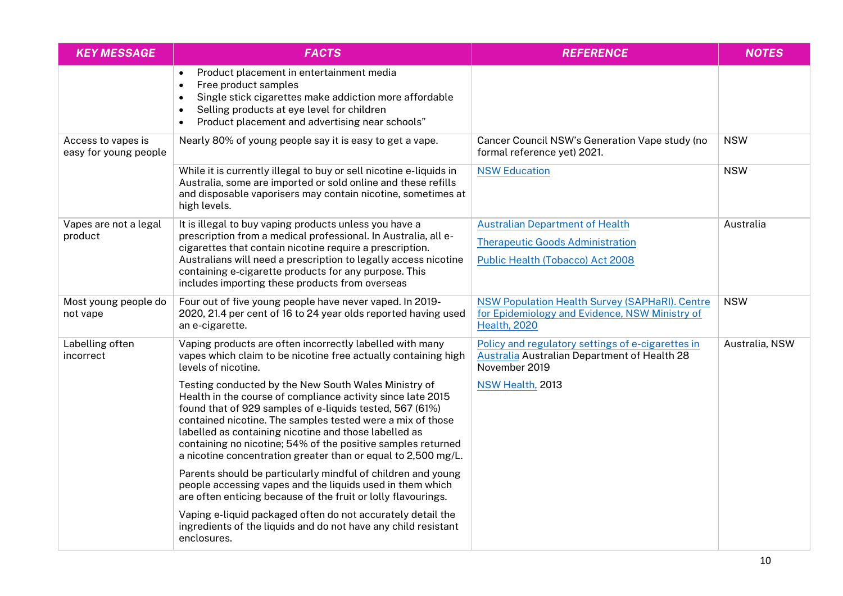| <b>KEY MESSAGE</b>                          | <b>FACTS</b>                                                                                                                                                                                                                                                                                                                                                                                                                            | <b>REFERENCE</b>                                                                                                        | <b>NOTES</b>   |
|---------------------------------------------|-----------------------------------------------------------------------------------------------------------------------------------------------------------------------------------------------------------------------------------------------------------------------------------------------------------------------------------------------------------------------------------------------------------------------------------------|-------------------------------------------------------------------------------------------------------------------------|----------------|
|                                             | Product placement in entertainment media<br>Free product samples<br>$\bullet$<br>Single stick cigarettes make addiction more affordable<br>$\bullet$<br>Selling products at eye level for children<br>$\bullet$<br>Product placement and advertising near schools"<br>$\bullet$                                                                                                                                                         |                                                                                                                         |                |
| Access to vapes is<br>easy for young people | Nearly 80% of young people say it is easy to get a vape.                                                                                                                                                                                                                                                                                                                                                                                | Cancer Council NSW's Generation Vape study (no<br>formal reference yet) 2021.                                           | <b>NSW</b>     |
|                                             | While it is currently illegal to buy or sell nicotine e-liquids in<br>Australia, some are imported or sold online and these refills<br>and disposable vaporisers may contain nicotine, sometimes at<br>high levels.                                                                                                                                                                                                                     | <b>NSW Education</b>                                                                                                    | <b>NSW</b>     |
| Vapes are not a legal<br>product            | It is illegal to buy vaping products unless you have a<br>prescription from a medical professional. In Australia, all e-                                                                                                                                                                                                                                                                                                                | <b>Australian Department of Health</b>                                                                                  | Australia      |
|                                             | cigarettes that contain nicotine require a prescription.                                                                                                                                                                                                                                                                                                                                                                                | <b>Therapeutic Goods Administration</b>                                                                                 |                |
|                                             | Australians will need a prescription to legally access nicotine<br>containing e-cigarette products for any purpose. This<br>includes importing these products from overseas                                                                                                                                                                                                                                                             | Public Health (Tobacco) Act 2008                                                                                        |                |
| Most young people do<br>not vape            | Four out of five young people have never vaped. In 2019-<br>2020, 21.4 per cent of 16 to 24 year olds reported having used<br>an e-cigarette.                                                                                                                                                                                                                                                                                           | NSW Population Health Survey (SAPHaRI). Centre<br>for Epidemiology and Evidence, NSW Ministry of<br><b>Health, 2020</b> | <b>NSW</b>     |
| Labelling often<br>incorrect                | Vaping products are often incorrectly labelled with many<br>vapes which claim to be nicotine free actually containing high<br>levels of nicotine.                                                                                                                                                                                                                                                                                       | Policy and regulatory settings of e-cigarettes in<br>Australia Australian Department of Health 28<br>November 2019      | Australia, NSW |
|                                             | Testing conducted by the New South Wales Ministry of<br>Health in the course of compliance activity since late 2015<br>found that of 929 samples of e-liquids tested, 567 (61%)<br>contained nicotine. The samples tested were a mix of those<br>labelled as containing nicotine and those labelled as<br>containing no nicotine; 54% of the positive samples returned<br>a nicotine concentration greater than or equal to 2,500 mg/L. | NSW Health, 2013                                                                                                        |                |
|                                             | Parents should be particularly mindful of children and young<br>people accessing vapes and the liquids used in them which<br>are often enticing because of the fruit or lolly flavourings.                                                                                                                                                                                                                                              |                                                                                                                         |                |
|                                             | Vaping e-liquid packaged often do not accurately detail the<br>ingredients of the liquids and do not have any child resistant<br>enclosures.                                                                                                                                                                                                                                                                                            |                                                                                                                         |                |